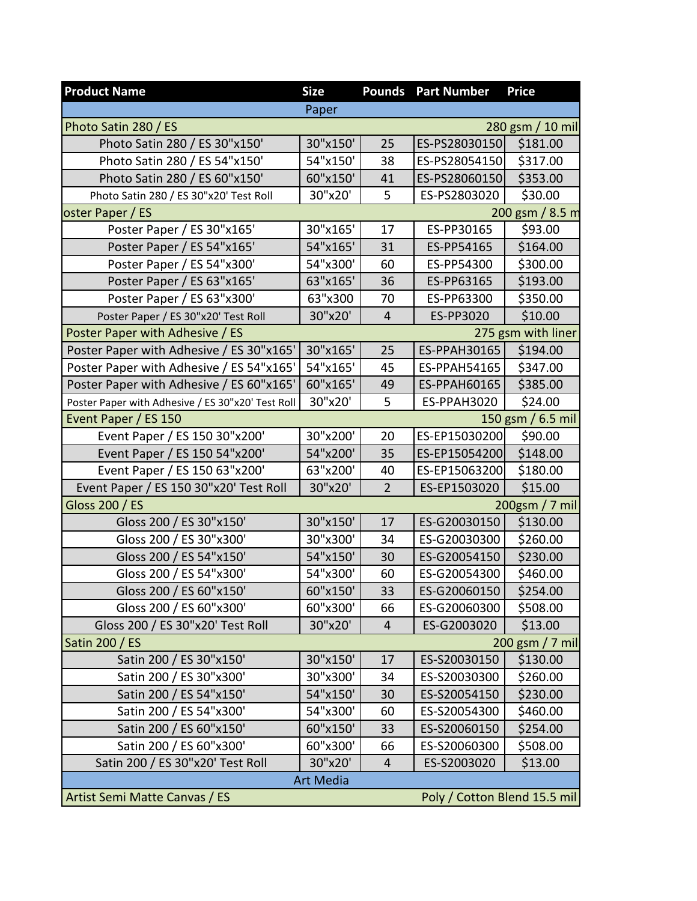| <b>Product Name</b>                                           | <b>Size</b> | <b>Pounds</b>  | <b>Part Number</b>  | <b>Price</b>       |
|---------------------------------------------------------------|-------------|----------------|---------------------|--------------------|
|                                                               | Paper       |                |                     |                    |
| Photo Satin 280 / ES                                          |             |                |                     | 280 gsm / 10 mil   |
| Photo Satin 280 / ES 30"x150'                                 | 30"x150'    | 25             | ES-PS28030150       | \$181.00           |
| Photo Satin 280 / ES 54"x150'                                 | 54"x150'    | 38             | ES-PS28054150       | \$317.00           |
| Photo Satin 280 / ES 60"x150'                                 | 60"x150'    | 41             | ES-PS28060150       | \$353.00           |
| Photo Satin 280 / ES 30"x20' Test Roll                        | 30"x20'     | 5              | ES-PS2803020        | \$30.00            |
| oster Paper / ES                                              |             |                |                     | 200 gsm / 8.5 m    |
| Poster Paper / ES 30"x165'                                    | 30"x165'    | 17             | ES-PP30165          | \$93.00            |
| Poster Paper / ES 54"x165'                                    | 54"x165'    | 31             | ES-PP54165          | \$164.00           |
| Poster Paper / ES 54"x300'                                    | 54"x300'    | 60             | ES-PP54300          | \$300.00           |
| Poster Paper / ES 63"x165'                                    | 63"x165'    | 36             | ES-PP63165          | \$193.00           |
| Poster Paper / ES 63"x300'                                    | 63"x300     | 70             | ES-PP63300          | \$350.00           |
| Poster Paper / ES 30"x20' Test Roll                           | 30"x20'     | $\overline{4}$ | ES-PP3020           | \$10.00            |
| Poster Paper with Adhesive / ES                               |             |                |                     | 275 gsm with liner |
| Poster Paper with Adhesive / ES 30"x165'                      | 30"x165"    | 25             | ES-PPAH30165        | \$194.00           |
| Poster Paper with Adhesive / ES 54"x165'                      | 54"x165'    | 45             | ES-PPAH54165        | \$347.00           |
| Poster Paper with Adhesive / ES 60"x165'                      | 60"x165'    | 49             | <b>ES-PPAH60165</b> | \$385.00           |
| Poster Paper with Adhesive / ES 30"x20' Test Roll             | 30"x20'     | 5              | ES-PPAH3020         | \$24.00            |
| Event Paper / ES 150                                          |             |                |                     | 150 gsm / 6.5 mil  |
| Event Paper / ES 150 30"x200"                                 | 30"x200'    | 20             | ES-EP15030200       | \$90.00            |
| Event Paper / ES 150 54"x200'                                 | 54"x200'    | 35             | ES-EP15054200       | \$148.00           |
| Event Paper / ES 150 63"x200'                                 | 63"x200'    | 40             | ES-EP15063200       | \$180.00           |
| Event Paper / ES 150 30"x20' Test Roll                        | 30"x20'     | $\overline{2}$ | ES-EP1503020        | \$15.00            |
| Gloss 200 / ES                                                |             |                |                     | 200gsm / 7 mil     |
| Gloss 200 / ES 30"x150"                                       | 30"x150"    | 17             | ES-G20030150        | \$130.00           |
| Gloss 200 / ES 30"x300"                                       | 30"x300"    | 34             | ES-G20030300        | \$260.00           |
| Gloss 200 / ES 54"x150'                                       | 54"x150'    | 30             | ES-G20054150        | \$230.00           |
| Gloss 200 / ES 54"x300"                                       | 54"x300'    | 60             | ES-G20054300        | \$460.00           |
| Gloss 200 / ES 60"x150'                                       | 60"x150'    | 33             | ES-G20060150        | \$254.00           |
| Gloss 200 / ES 60"x300"                                       | 60"x300'    | 66             | ES-G20060300        | \$508.00           |
| Gloss 200 / ES 30"x20' Test Roll                              | 30"x20'     | $\overline{4}$ | ES-G2003020         | \$13.00            |
| <b>Satin 200 / ES</b>                                         |             |                |                     | 200 gsm / 7 mil    |
| Satin 200 / ES 30"x150"                                       | 30"x150"    | 17             | ES-S20030150        | \$130.00           |
| Satin 200 / ES 30"x300"                                       | 30"x300'    | 34             | ES-S20030300        | \$260.00           |
| Satin 200 / ES 54"x150'                                       | 54"x150'    | 30             | ES-S20054150        | \$230.00           |
| Satin 200 / ES 54"x300"                                       | 54"x300'    | 60             | ES-S20054300        | \$460.00           |
| Satin 200 / ES 60"x150"                                       | 60"x150'    | 33             | ES-S20060150        | \$254.00           |
| Satin 200 / ES 60"x300"                                       | 60"x300"    | 66             | ES-S20060300        | \$508.00           |
| Satin 200 / ES 30"x20' Test Roll                              | 30"x20'     | 4              | ES-S2003020         | \$13.00            |
| <b>Art Media</b>                                              |             |                |                     |                    |
| Poly / Cotton Blend 15.5 mil<br>Artist Semi Matte Canvas / ES |             |                |                     |                    |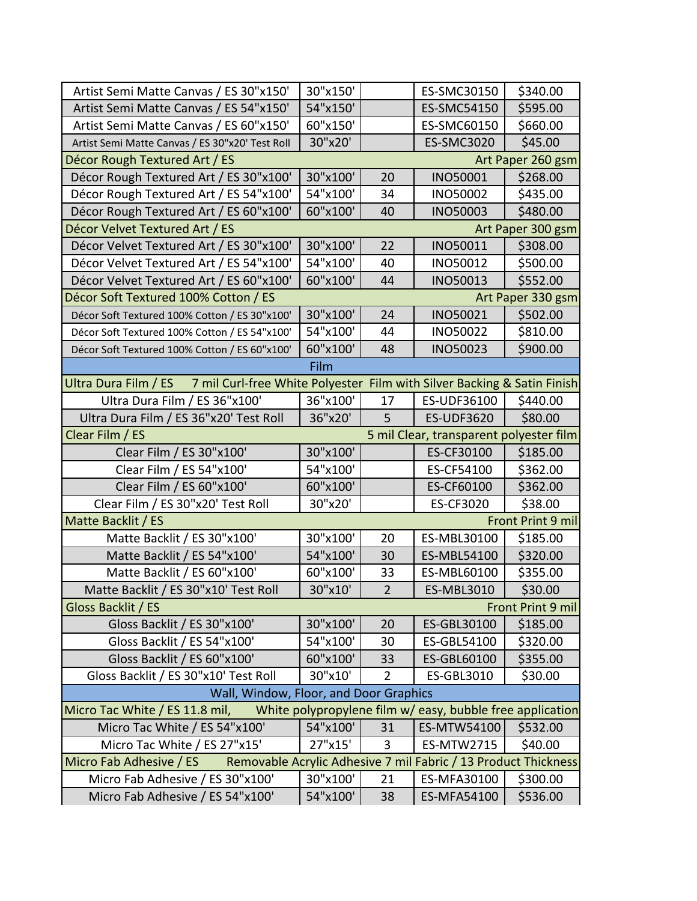| Artist Semi Matte Canvas / ES 30"x150'                                                          | 30"x150' |                | ES-SMC30150                                               | \$340.00          |
|-------------------------------------------------------------------------------------------------|----------|----------------|-----------------------------------------------------------|-------------------|
| Artist Semi Matte Canvas / ES 54"x150'                                                          | 54"x150' |                | ES-SMC54150                                               | \$595.00          |
| Artist Semi Matte Canvas / ES 60"x150'                                                          | 60"x150' |                | ES-SMC60150                                               | \$660.00          |
| Artist Semi Matte Canvas / ES 30"x20' Test Roll                                                 | 30"x20'  |                | <b>ES-SMC3020</b>                                         | \$45.00           |
| Décor Rough Textured Art / ES                                                                   |          |                |                                                           | Art Paper 260 gsm |
| Décor Rough Textured Art / ES 30"x100'                                                          | 30"x100' | 20             | <b>INO50001</b>                                           | \$268.00          |
| Décor Rough Textured Art / ES 54"x100'                                                          | 54"x100' | 34             | <b>INO50002</b>                                           | \$435.00          |
| Décor Rough Textured Art / ES 60"x100'                                                          | 60"x100' | 40             | <b>INO50003</b>                                           | \$480.00          |
| Décor Velvet Textured Art / ES                                                                  |          |                |                                                           | Art Paper 300 gsm |
| Décor Velvet Textured Art / ES 30"x100'                                                         | 30"x100" | 22             | INO50011                                                  | \$308.00          |
| Décor Velvet Textured Art / ES 54"x100'                                                         | 54"x100' | 40             | INO50012                                                  | \$500.00          |
| Décor Velvet Textured Art / ES 60"x100'                                                         | 60"x100" | 44             | <b>INO50013</b>                                           | \$552.00          |
| Décor Soft Textured 100% Cotton / ES                                                            |          |                |                                                           | Art Paper 330 gsm |
| Décor Soft Textured 100% Cotton / ES 30"x100'                                                   | 30"x100" | 24             | <b>INO50021</b>                                           | \$502.00          |
| Décor Soft Textured 100% Cotton / ES 54"x100'                                                   | 54"x100' | 44             | <b>INO50022</b>                                           | \$810.00          |
| Décor Soft Textured 100% Cotton / ES 60"x100'                                                   | 60"x100' | 48             | <b>INO50023</b>                                           | \$900.00          |
|                                                                                                 | Film     |                |                                                           |                   |
| Ultra Dura Film / ES<br>7 mil Curl-free White Polyester Film with Silver Backing & Satin Finish |          |                |                                                           |                   |
| Ultra Dura Film / ES 36"x100'                                                                   | 36"x100' | 17             | ES-UDF36100                                               | \$440.00          |
| Ultra Dura Film / ES 36"x20' Test Roll                                                          | 36"x20'  | 5              | <b>ES-UDF3620</b>                                         | \$80.00           |
| Clear Film / ES                                                                                 |          |                | 5 mil Clear, transparent polyester film                   |                   |
| Clear Film / ES 30"x100'                                                                        | 30"x100' |                | ES-CF30100                                                | \$185.00          |
| Clear Film / ES 54"x100'                                                                        | 54"x100' |                | ES-CF54100                                                | \$362.00          |
| Clear Film / ES 60"x100'                                                                        | 60"x100" |                | ES-CF60100                                                | \$362.00          |
| Clear Film / ES 30"x20' Test Roll                                                               | 30"x20'  |                | ES-CF3020                                                 | \$38.00           |
| Matte Backlit / ES<br>Front Print 9 mil                                                         |          |                |                                                           |                   |
| Matte Backlit / ES 30"x100"                                                                     | 30"x100' | 20             | ES-MBL30100                                               | \$185.00          |
| Matte Backlit / ES 54"x100'                                                                     | 54"x100' | 30             | ES-MBL54100                                               | \$320.00          |
| Matte Backlit / ES 60"x100'                                                                     | 60"x100" | 33             | ES-MBL60100                                               | \$355.00          |
| Matte Backlit / ES 30"x10' Test Roll                                                            | 30"x10'  | $\overline{2}$ | ES-MBL3010                                                | \$30.00           |
| Gloss Backlit / ES<br><b>Front Print 9 mil</b>                                                  |          |                |                                                           |                   |
| Gloss Backlit / ES 30"x100'                                                                     | 30"x100' | 20             | ES-GBL30100                                               | \$185.00          |
| Gloss Backlit / ES 54"x100'                                                                     | 54"x100' | 30             | ES-GBL54100                                               | \$320.00          |
| Gloss Backlit / ES 60"x100'                                                                     | 60"x100" | 33             | ES-GBL60100                                               | \$355.00          |
| Gloss Backlit / ES 30"x10' Test Roll                                                            | 30"x10'  | $\overline{2}$ | <b>ES-GBL3010</b>                                         | \$30.00           |
| Wall, Window, Floor, and Door Graphics                                                          |          |                |                                                           |                   |
| Micro Tac White / ES 11.8 mil,                                                                  |          |                | White polypropylene film w/ easy, bubble free application |                   |
| Micro Tac White / ES 54"x100'                                                                   | 54"x100' | 31             | ES-MTW54100                                               | \$532.00          |
| Micro Tac White / ES 27"x15'                                                                    | 27"x15'  | 3              | ES-MTW2715                                                | \$40.00           |
| Removable Acrylic Adhesive 7 mil Fabric / 13 Product Thickness<br>Micro Fab Adhesive / ES       |          |                |                                                           |                   |
| Micro Fab Adhesive / ES 30"x100"                                                                | 30"x100' | 21             | ES-MFA30100                                               | \$300.00          |
| Micro Fab Adhesive / ES 54"x100"                                                                | 54"x100' | 38             | ES-MFA54100                                               | \$536.00          |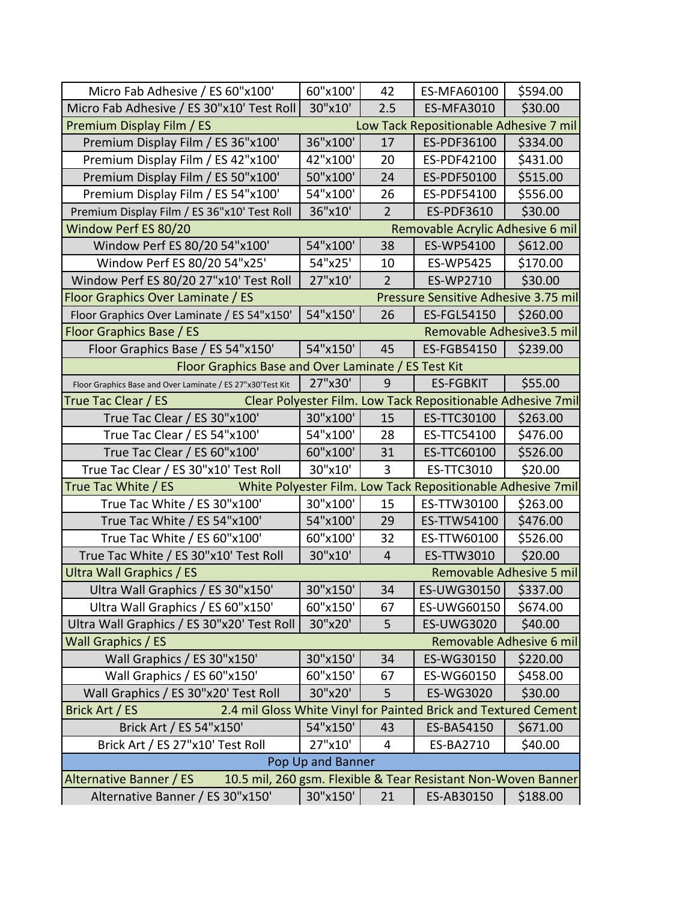| Micro Fab Adhesive / ES 60"x100"                                                         | 60"x100' | 42             | ES-MFA60100                                                 | \$594.00 |
|------------------------------------------------------------------------------------------|----------|----------------|-------------------------------------------------------------|----------|
| Micro Fab Adhesive / ES 30"x10' Test Roll                                                | 30"x10'  | 2.5            | <b>ES-MFA3010</b>                                           | \$30.00  |
| Premium Display Film / ES<br>Low Tack Repositionable Adhesive 7 mil                      |          |                |                                                             |          |
| Premium Display Film / ES 36"x100'                                                       | 36"x100' | 17             | ES-PDF36100                                                 | \$334.00 |
| Premium Display Film / ES 42"x100'                                                       | 42"x100' | 20             | ES-PDF42100                                                 | \$431.00 |
| Premium Display Film / ES 50"x100'                                                       | 50"x100' | 24             | ES-PDF50100                                                 | \$515.00 |
| Premium Display Film / ES 54"x100'                                                       | 54"x100' | 26             | ES-PDF54100                                                 | \$556.00 |
| Premium Display Film / ES 36"x10' Test Roll                                              | 36"x10'  | $\overline{2}$ | <b>ES-PDF3610</b>                                           | \$30.00  |
| Window Perf ES 80/20                                                                     |          |                | Removable Acrylic Adhesive 6 mil                            |          |
| Window Perf ES 80/20 54"x100'                                                            | 54"x100' | 38             | ES-WP54100                                                  | \$612.00 |
| Window Perf ES 80/20 54"x25'                                                             | 54"x25'  | 10             | ES-WP5425                                                   | \$170.00 |
| Window Perf ES 80/20 27"x10' Test Roll                                                   | 27"x10'  | 2              | ES-WP2710                                                   | \$30.00  |
| Floor Graphics Over Laminate / ES                                                        |          |                | Pressure Sensitive Adhesive 3.75 mil                        |          |
| Floor Graphics Over Laminate / ES 54"x150'                                               | 54"x150' | 26             | <b>ES-FGL54150</b>                                          | \$260.00 |
| Floor Graphics Base / ES                                                                 |          |                | Removable Adhesive 3.5 mil                                  |          |
| Floor Graphics Base / ES 54"x150'                                                        | 54"x150' | 45             | ES-FGB54150                                                 | \$239.00 |
| Floor Graphics Base and Over Laminate / ES Test Kit                                      |          |                |                                                             |          |
| Floor Graphics Base and Over Laminate / ES 27"x30'Test Kit                               | 27"x30'  | 9              | <b>ES-FGBKIT</b>                                            | \$55.00  |
| True Tac Clear / ES                                                                      |          |                | Clear Polyester Film. Low Tack Repositionable Adhesive 7mil |          |
| True Tac Clear / ES 30"x100'                                                             | 30"x100' | 15             | ES-TTC30100                                                 | \$263.00 |
| True Tac Clear / ES 54"x100'                                                             | 54"x100' | 28             | ES-TTC54100                                                 | \$476.00 |
| True Tac Clear / ES 60"x100'                                                             | 60"x100' | 31             | ES-TTC60100                                                 | \$526.00 |
| True Tac Clear / ES 30"x10' Test Roll                                                    | 30"x10'  | 3              | ES-TTC3010                                                  | \$20.00  |
| True Tac White / ES                                                                      |          |                | White Polyester Film. Low Tack Repositionable Adhesive 7mil |          |
| True Tac White / ES 30"x100'                                                             | 30"x100' | 15             | ES-TTW30100                                                 | \$263.00 |
| True Tac White / ES 54"x100'                                                             | 54"x100' | 29             | ES-TTW54100                                                 | \$476.00 |
| True Tac White / ES 60"x100'                                                             | 60"x100" | 32             | ES-TTW60100                                                 | \$526.00 |
| True Tac White / ES 30"x10' Test Roll                                                    | 30"x10'  | $\overline{4}$ | ES-TTW3010                                                  | \$20.00  |
| Removable Adhesive 5 mil<br><b>Ultra Wall Graphics / ES</b>                              |          |                |                                                             |          |
| Ultra Wall Graphics / ES 30"x150'                                                        | 30"x150' | 34             | ES-UWG30150   \$337.00                                      |          |
| Ultra Wall Graphics / ES 60"x150'                                                        | 60"x150" | 67             | ES-UWG60150                                                 | \$674.00 |
| Ultra Wall Graphics / ES 30"x20' Test Roll                                               | 30"x20'  | 5              | <b>ES-UWG3020</b>                                           | \$40.00  |
| Wall Graphics / ES<br>Removable Adhesive 6 mil                                           |          |                |                                                             |          |
| Wall Graphics / ES 30"x150'                                                              | 30"x150' | 34             | ES-WG30150                                                  | \$220.00 |
| Wall Graphics / ES 60"x150"                                                              | 60"x150' | 67             | ES-WG60150                                                  | \$458.00 |
| Wall Graphics / ES 30"x20' Test Roll                                                     | 30"x20'  | 5              | ES-WG3020                                                   | \$30.00  |
| 2.4 mil Gloss White Vinyl for Painted Brick and Textured Cement<br>Brick Art / ES        |          |                |                                                             |          |
| Brick Art / ES 54"x150'                                                                  | 54"x150' | 43             | ES-BA54150                                                  | \$671.00 |
| Brick Art / ES 27"x10' Test Roll                                                         | 27"x10'  | 4              | ES-BA2710                                                   | \$40.00  |
| Pop Up and Banner                                                                        |          |                |                                                             |          |
| Alternative Banner / ES<br>10.5 mil, 260 gsm. Flexible & Tear Resistant Non-Woven Banner |          |                |                                                             |          |
| Alternative Banner / ES 30"x150"                                                         | 30"x150' | 21             | ES-AB30150                                                  | \$188.00 |